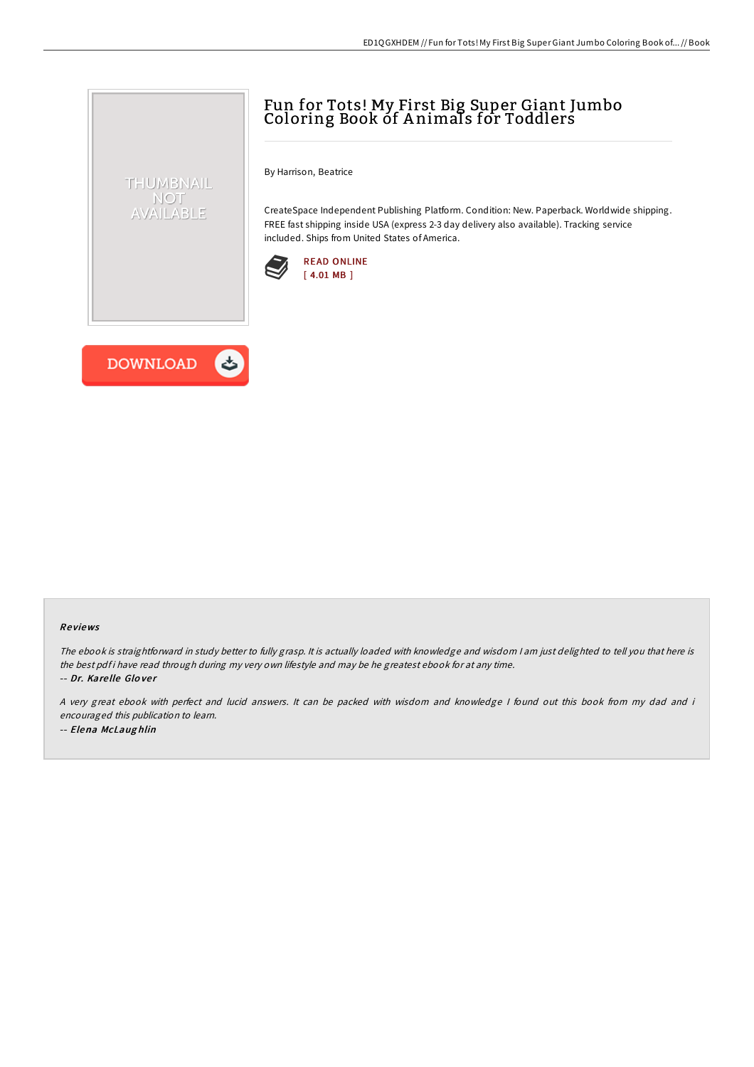# Fun for Tots! My First Big Super Giant Jumbo Coloring Book of A nimals for Toddlers

By Harrison, Beatrice

CreateSpace Independent Publishing Platform. Condition: New. Paperback. Worldwide shipping. FREE fast shipping inside USA (express 2-3 day delivery also available). Tracking service included. Ships from United States of America.





THUMBNAIL NOT AVAILABLE

#### Re views

The ebook is straightforward in study better to fully grasp. It is actually loaded with knowledge and wisdom <sup>I</sup> am just delighted to tell you that here is the best pdf i have read through during my very own lifestyle and may be he greatest ebook for at any time. -- Dr. Kare lle Glo ve <sup>r</sup>

<sup>A</sup> very great ebook with perfect and lucid answers. It can be packed with wisdom and knowledge <sup>I</sup> found out this book from my dad and i encouraged this publication to learn. -- Elena McLaug hlin